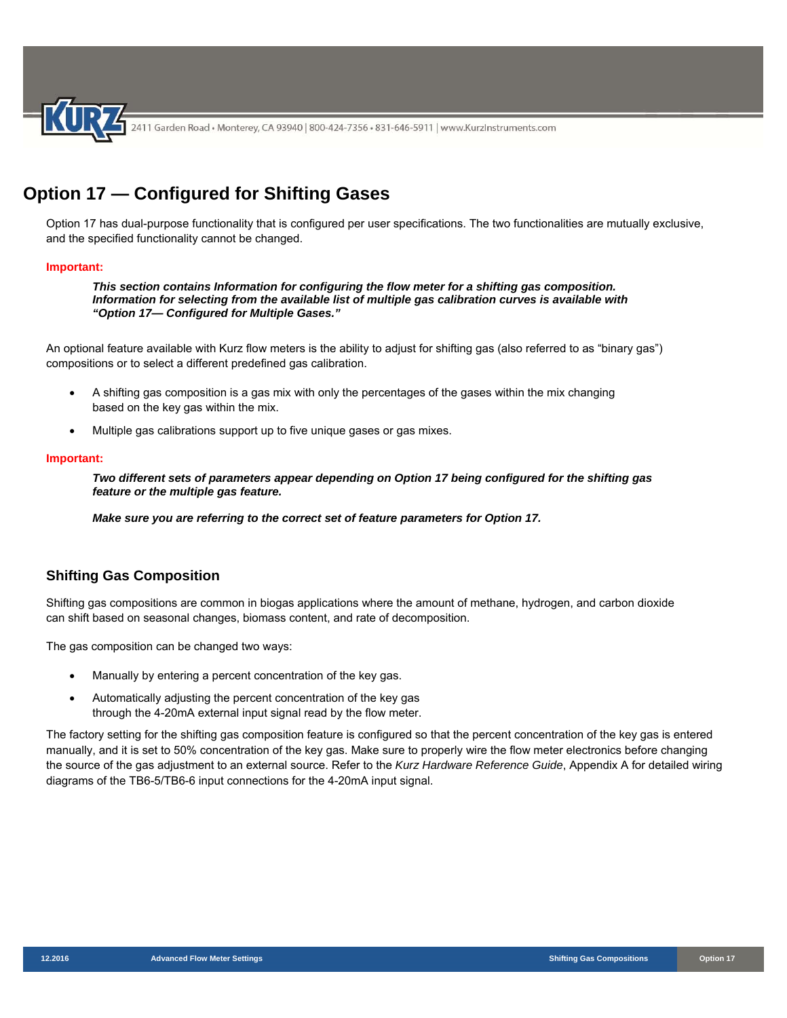

# **Option 17 — Configured for Shifting Gases**

Option 17 has dual-purpose functionality that is configured per user specifications. The two functionalities are mutually exclusive, and the specified functionality cannot be changed.

### **Important:**

*This section contains Information for configuring the flow meter for a shifting gas composition. Information for selecting from the available list of multiple gas calibration curves is available with "Option 17— Configured for Multiple Gases."* 

An optional feature available with Kurz flow meters is the ability to adjust for shifting gas (also referred to as "binary gas") compositions or to select a different predefined gas calibration.

- A shifting gas composition is a gas mix with only the percentages of the gases within the mix changing based on the key gas within the mix.
- Multiple gas calibrations support up to five unique gases or gas mixes.

#### **Important:**

*Two different sets of parameters appear depending on Option 17 being configured for the shifting gas feature or the multiple gas feature.* 

*Make sure you are referring to the correct set of feature parameters for Option 17.* 

# **Shifting Gas Composition**

Shifting gas compositions are common in biogas applications where the amount of methane, hydrogen, and carbon dioxide can shift based on seasonal changes, biomass content, and rate of decomposition.

The gas composition can be changed two ways:

- Manually by entering a percent concentration of the key gas.
- Automatically adjusting the percent concentration of the key gas through the 4-20mA external input signal read by the flow meter.

The factory setting for the shifting gas composition feature is configured so that the percent concentration of the key gas is entered manually, and it is set to 50% concentration of the key gas. Make sure to properly wire the flow meter electronics before changing the source of the gas adjustment to an external source. Refer to the *Kurz Hardware Reference Guide*, Appendix A for detailed wiring diagrams of the TB6-5/TB6-6 input connections for the 4-20mA input signal.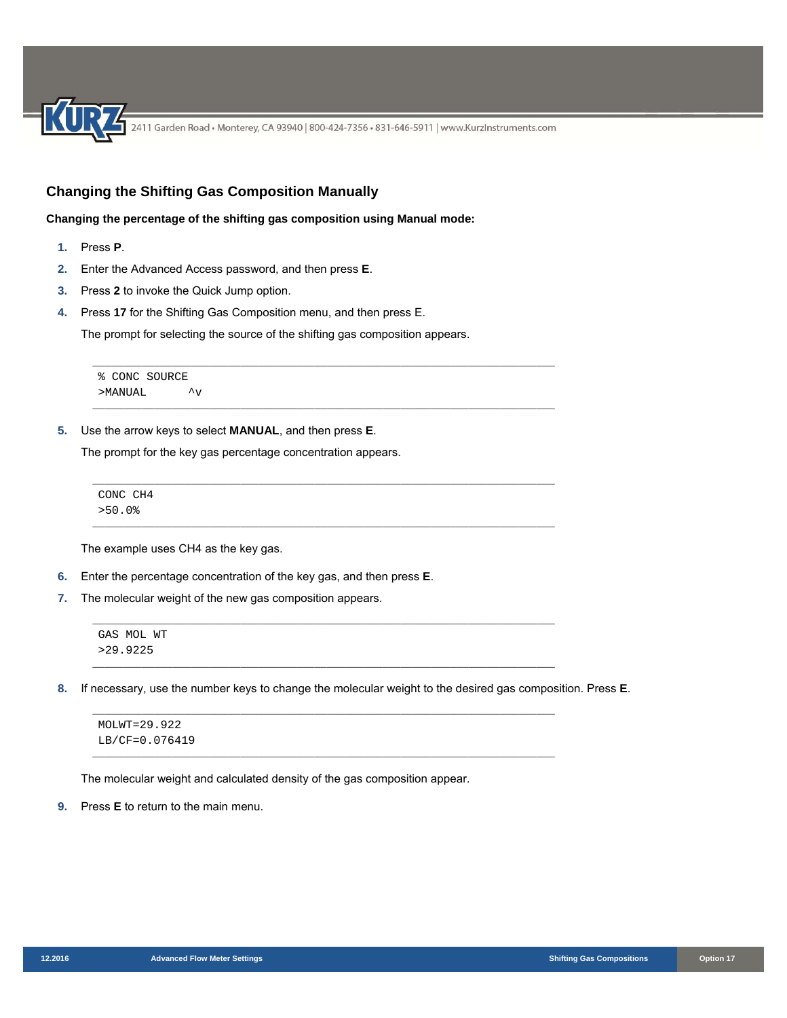## **Changing the Shifting Gas Composition Manually**

**Changing the percentage of the shifting gas composition using Manual mode:** 

- **1.** Press **P**.
- **2.** Enter the Advanced Access password, and then press **E**.
- **3.** Press **2** to invoke the Quick Jump option.
- **4.** Press **17** for the Shifting Gas Composition menu, and then press E.

The prompt for selecting the source of the shifting gas composition appears.

\_\_\_\_\_\_\_\_\_\_\_\_\_\_\_\_\_\_\_\_\_\_\_\_\_\_\_\_\_\_\_\_\_\_\_\_\_\_\_\_\_\_\_\_\_\_\_\_\_\_\_\_\_\_\_\_\_\_\_\_\_\_\_\_\_\_\_\_\_\_\_\_\_\_\_

\_\_\_\_\_\_\_\_\_\_\_\_\_\_\_\_\_\_\_\_\_\_\_\_\_\_\_\_\_\_\_\_\_\_\_\_\_\_\_\_\_\_\_\_\_\_\_\_\_\_\_\_\_\_\_\_\_\_\_\_\_\_\_\_\_\_\_\_\_\_\_\_\_\_\_

\_\_\_\_\_\_\_\_\_\_\_\_\_\_\_\_\_\_\_\_\_\_\_\_\_\_\_\_\_\_\_\_\_\_\_\_\_\_\_\_\_\_\_\_\_\_\_\_\_\_\_\_\_\_\_\_\_\_\_\_\_\_\_\_\_\_\_\_\_\_\_\_\_\_\_

\_\_\_\_\_\_\_\_\_\_\_\_\_\_\_\_\_\_\_\_\_\_\_\_\_\_\_\_\_\_\_\_\_\_\_\_\_\_\_\_\_\_\_\_\_\_\_\_\_\_\_\_\_\_\_\_\_\_\_\_\_\_\_\_\_\_\_\_\_\_\_\_\_\_\_

\_\_\_\_\_\_\_\_\_\_\_\_\_\_\_\_\_\_\_\_\_\_\_\_\_\_\_\_\_\_\_\_\_\_\_\_\_\_\_\_\_\_\_\_\_\_\_\_\_\_\_\_\_\_\_\_\_\_\_\_\_\_\_\_\_\_\_\_\_\_\_\_\_\_\_

\_\_\_\_\_\_\_\_\_\_\_\_\_\_\_\_\_\_\_\_\_\_\_\_\_\_\_\_\_\_\_\_\_\_\_\_\_\_\_\_\_\_\_\_\_\_\_\_\_\_\_\_\_\_\_\_\_\_\_\_\_\_\_\_\_\_\_\_\_\_\_\_\_\_\_

\_\_\_\_\_\_\_\_\_\_\_\_\_\_\_\_\_\_\_\_\_\_\_\_\_\_\_\_\_\_\_\_\_\_\_\_\_\_\_\_\_\_\_\_\_\_\_\_\_\_\_\_\_\_\_\_\_\_\_\_\_\_\_\_\_\_\_\_\_\_\_\_\_\_\_

\_\_\_\_\_\_\_\_\_\_\_\_\_\_\_\_\_\_\_\_\_\_\_\_\_\_\_\_\_\_\_\_\_\_\_\_\_\_\_\_\_\_\_\_\_\_\_\_\_\_\_\_\_\_\_\_\_\_\_\_\_\_\_\_\_\_\_\_\_\_\_\_\_\_\_

```
% CONC SOURCE 
>MANUAL ^v
```
**5.** Use the arrow keys to select **MANUAL**, and then press **E**.

The prompt for the key gas percentage concentration appears.

CONC CH4 >50.0%

The example uses CH4 as the key gas.

- **6.** Enter the percentage concentration of the key gas, and then press **E**.
- **7.** The molecular weight of the new gas composition appears.

```
GAS MOL WT 
>29.9225
```
**8.** If necessary, use the number keys to change the molecular weight to the desired gas composition. Press **E**.

MOLWT=29.922 LB/CF=0.076419

The molecular weight and calculated density of the gas composition appear.

**9.** Press **E** to return to the main menu.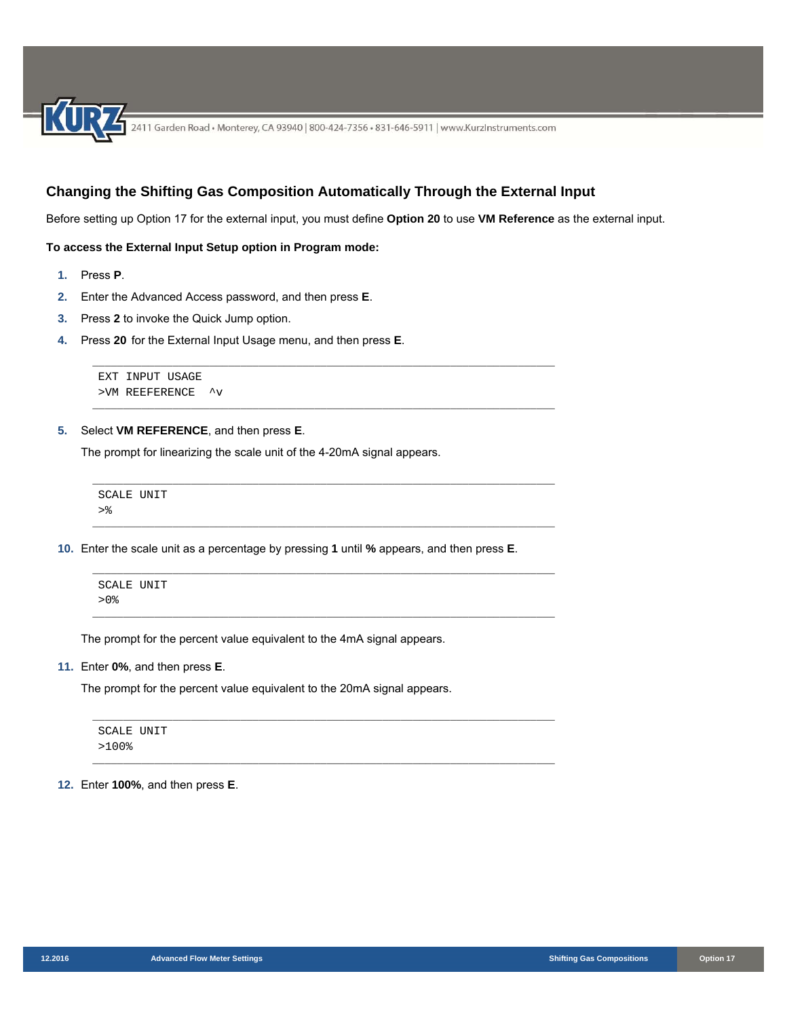## **Changing the Shifting Gas Composition Automatically Through the External Input**

\_\_\_\_\_\_\_\_\_\_\_\_\_\_\_\_\_\_\_\_\_\_\_\_\_\_\_\_\_\_\_\_\_\_\_\_\_\_\_\_\_\_\_\_\_\_\_\_\_\_\_\_\_\_\_\_\_\_\_\_\_\_\_\_\_\_\_\_\_\_\_\_\_\_\_

\_\_\_\_\_\_\_\_\_\_\_\_\_\_\_\_\_\_\_\_\_\_\_\_\_\_\_\_\_\_\_\_\_\_\_\_\_\_\_\_\_\_\_\_\_\_\_\_\_\_\_\_\_\_\_\_\_\_\_\_\_\_\_\_\_\_\_\_\_\_\_\_\_\_\_

\_\_\_\_\_\_\_\_\_\_\_\_\_\_\_\_\_\_\_\_\_\_\_\_\_\_\_\_\_\_\_\_\_\_\_\_\_\_\_\_\_\_\_\_\_\_\_\_\_\_\_\_\_\_\_\_\_\_\_\_\_\_\_\_\_\_\_\_\_\_\_\_\_\_\_

Before setting up Option 17 for the external input, you must define **Option 20** to use **VM Reference** as the external input.

#### **To access the External Input Setup option in Program mode:**

- **1.** Press **P**.
- **2.** Enter the Advanced Access password, and then press **E**.
- **3.** Press **2** to invoke the Quick Jump option.
- **4.** Press **20** for the External Input Usage menu, and then press **E**.

```
EXT INPUT USAGE 
>VM REEFERENCE ^v
```
**5.** Select **VM REFERENCE**, and then press **E**.

The prompt for linearizing the scale unit of the 4-20mA signal appears.

```
___________________________________________________________________________ 
SCALE UNIT 
>\frac{6}{6}___________________________________________________________________________
```
**10.** Enter the scale unit as a percentage by pressing **1** until **%** appears, and then press **E**.



The prompt for the percent value equivalent to the 4mA signal appears.

**11.** Enter **0%**, and then press **E**.

The prompt for the percent value equivalent to the 20mA signal appears.

\_\_\_\_\_\_\_\_\_\_\_\_\_\_\_\_\_\_\_\_\_\_\_\_\_\_\_\_\_\_\_\_\_\_\_\_\_\_\_\_\_\_\_\_\_\_\_\_\_\_\_\_\_\_\_\_\_\_\_\_\_\_\_\_\_\_\_\_\_\_\_\_\_\_\_ SCALE UNIT >100% \_\_\_\_\_\_\_\_\_\_\_\_\_\_\_\_\_\_\_\_\_\_\_\_\_\_\_\_\_\_\_\_\_\_\_\_\_\_\_\_\_\_\_\_\_\_\_\_\_\_\_\_\_\_\_\_\_\_\_\_\_\_\_\_\_\_\_\_\_\_\_\_\_\_\_

**12.** Enter **100%**, and then press **E**.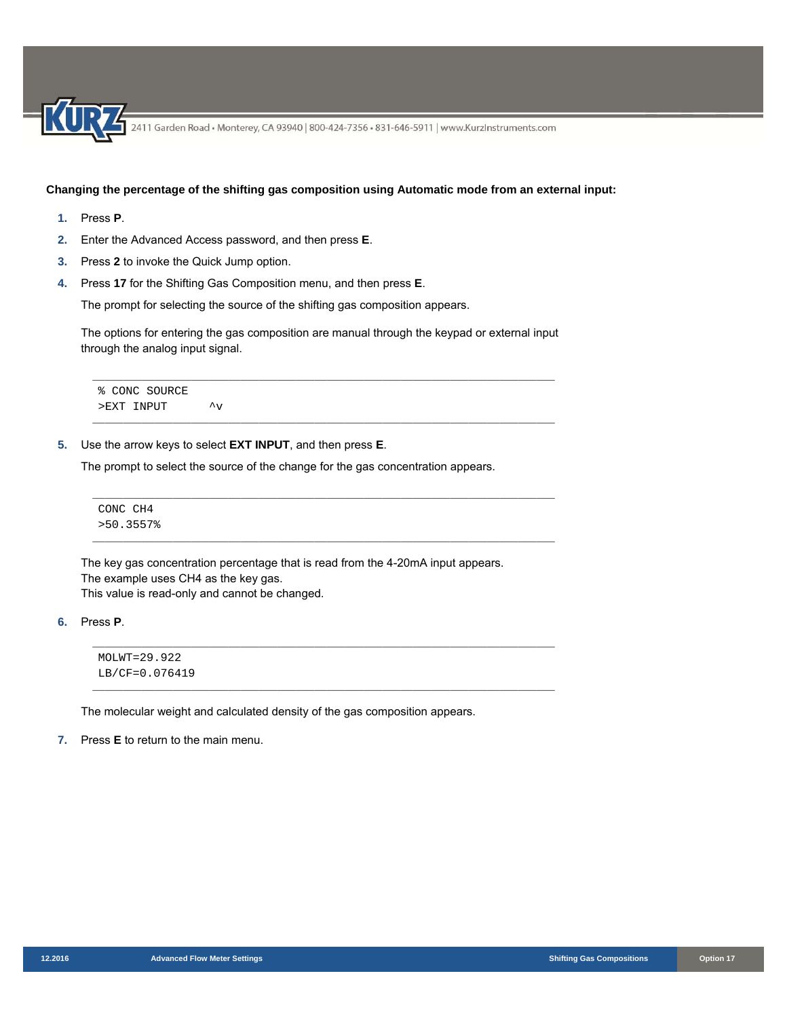## **Changing the percentage of the shifting gas composition using Automatic mode from an external input:**

- **1.** Press **P**.
- **2.** Enter the Advanced Access password, and then press **E**.
- **3.** Press **2** to invoke the Quick Jump option.
- **4.** Press **17** for the Shifting Gas Composition menu, and then press **E**.

The prompt for selecting the source of the shifting gas composition appears.

The options for entering the gas composition are manual through the keypad or external input through the analog input signal.

\_\_\_\_\_\_\_\_\_\_\_\_\_\_\_\_\_\_\_\_\_\_\_\_\_\_\_\_\_\_\_\_\_\_\_\_\_\_\_\_\_\_\_\_\_\_\_\_\_\_\_\_\_\_\_\_\_\_\_\_\_\_\_\_\_\_\_\_\_\_\_\_\_\_\_

\_\_\_\_\_\_\_\_\_\_\_\_\_\_\_\_\_\_\_\_\_\_\_\_\_\_\_\_\_\_\_\_\_\_\_\_\_\_\_\_\_\_\_\_\_\_\_\_\_\_\_\_\_\_\_\_\_\_\_\_\_\_\_\_\_\_\_\_\_\_\_\_\_\_\_

\_\_\_\_\_\_\_\_\_\_\_\_\_\_\_\_\_\_\_\_\_\_\_\_\_\_\_\_\_\_\_\_\_\_\_\_\_\_\_\_\_\_\_\_\_\_\_\_\_\_\_\_\_\_\_\_\_\_\_\_\_\_\_\_\_\_\_\_\_\_\_\_\_\_\_

\_\_\_\_\_\_\_\_\_\_\_\_\_\_\_\_\_\_\_\_\_\_\_\_\_\_\_\_\_\_\_\_\_\_\_\_\_\_\_\_\_\_\_\_\_\_\_\_\_\_\_\_\_\_\_\_\_\_\_\_\_\_\_\_\_\_\_\_\_\_\_\_\_\_\_

\_\_\_\_\_\_\_\_\_\_\_\_\_\_\_\_\_\_\_\_\_\_\_\_\_\_\_\_\_\_\_\_\_\_\_\_\_\_\_\_\_\_\_\_\_\_\_\_\_\_\_\_\_\_\_\_\_\_\_\_\_\_\_\_\_\_\_\_\_\_\_\_\_\_\_

\_\_\_\_\_\_\_\_\_\_\_\_\_\_\_\_\_\_\_\_\_\_\_\_\_\_\_\_\_\_\_\_\_\_\_\_\_\_\_\_\_\_\_\_\_\_\_\_\_\_\_\_\_\_\_\_\_\_\_\_\_\_\_\_\_\_\_\_\_\_\_\_\_\_\_

```
% CONC SOURCE 
>EXT INPUT \simv
```
**5.** Use the arrow keys to select **EXT INPUT**, and then press **E**.

The prompt to select the source of the change for the gas concentration appears.

CONC CH4 >50.3557%

The key gas concentration percentage that is read from the 4-20mA input appears. The example uses CH4 as the key gas. This value is read-only and cannot be changed.

**6.** Press **P**.

MOLWT=29.922 LB/CF=0.076419

The molecular weight and calculated density of the gas composition appears.

**7.** Press **E** to return to the main menu.